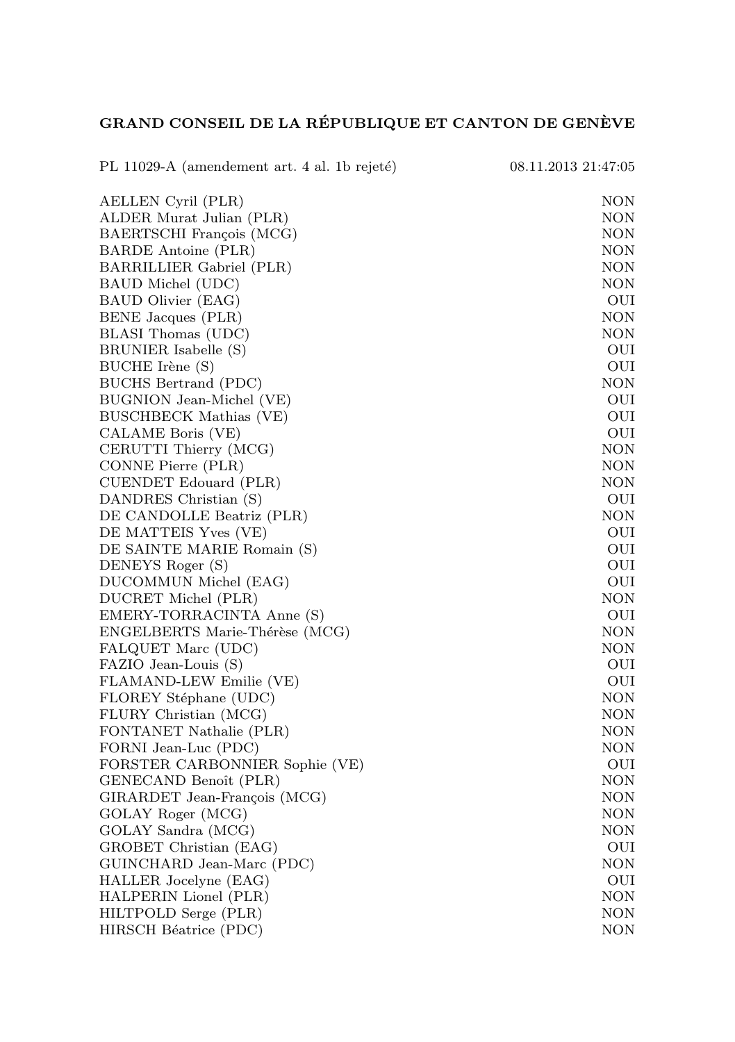## GRAND CONSEIL DE LA RÉPUBLIQUE ET CANTON DE GENÈVE

| PL 11029-A (amendement art. 4 al. 1b rejeté) | 08.11.2013 21:47:05 |
|----------------------------------------------|---------------------|
| AELLEN Cyril (PLR)                           | NON                 |
| ALDER Murat Julian (PLR)                     | NON                 |
| BAERTSCHI François (MCG)                     | NON                 |
| <b>BARDE Antoine (PLR)</b>                   | NON                 |
| BARRILLIER Gabriel (PLR)                     | NON                 |
| BAUD Michel (UDC)                            | <b>NON</b>          |
| BAUD Olivier (EAG)                           | OUI                 |
| BENE Jacques (PLR)                           | NON                 |
| BLASI Thomas (UDC)                           | <b>NON</b>          |
| BRUNIER Isabelle (S)                         | OUI                 |
| BUCHE Irène (S)                              | OUI                 |
| <b>BUCHS Bertrand (PDC)</b>                  | <b>NON</b>          |
| BUGNION Jean-Michel (VE)                     | OUI                 |
| BUSCHBECK Mathias (VE)                       | OUI                 |
| CALAME Boris (VE)                            | OUI                 |
| CERUTTI Thierry (MCG)                        | NON                 |
| CONNE Pierre (PLR)                           | NON                 |
| CUENDET Edouard (PLR)                        | <b>NON</b>          |
| DANDRES Christian (S)                        | OUI                 |
| DE CANDOLLE Beatriz (PLR)                    | <b>NON</b>          |
| DE MATTEIS Yves (VE)                         | OUI                 |
| DE SAINTE MARIE Romain (S)                   | OUI                 |
| DENEYS Roger (S)                             | OUI                 |
| DUCOMMUN Michel (EAG)                        | OUI                 |
| DUCRET Michel (PLR)                          | NON                 |
| EMERY-TORRACINTA Anne (S)                    | OUI                 |
| ENGELBERTS Marie-Thérèse (MCG)               | NON                 |
| FALQUET Marc (UDC)                           | NON                 |
| FAZIO Jean-Louis (S)                         | OUI                 |
| FLAMAND-LEW Emilie (VE)                      | OUI                 |
| FLOREY Stéphane (UDC)                        | NON                 |
| FLURY Christian (MCG)                        | NON                 |
| FONTANET Nathalie (PLR)                      | NON                 |
| FORNI Jean-Luc (PDC)                         | NON                 |
| FORSTER CARBONNIER Sophie (VE)               | OUI                 |
| GENECAND Benoît (PLR)                        | NON                 |
| GIRARDET Jean-François (MCG)                 | <b>NON</b>          |
| GOLAY Roger (MCG)                            | NON                 |
| GOLAY Sandra (MCG)                           | <b>NON</b>          |
| GROBET Christian (EAG)                       | OUI                 |
| GUINCHARD Jean-Marc (PDC)                    | <b>NON</b>          |
| HALLER Jocelyne (EAG)                        | OUI                 |
| HALPERIN Lionel (PLR)                        | NON                 |
| HILTPOLD Serge (PLR)                         | NON                 |
| HIRSCH Béatrice (PDC)                        | NON                 |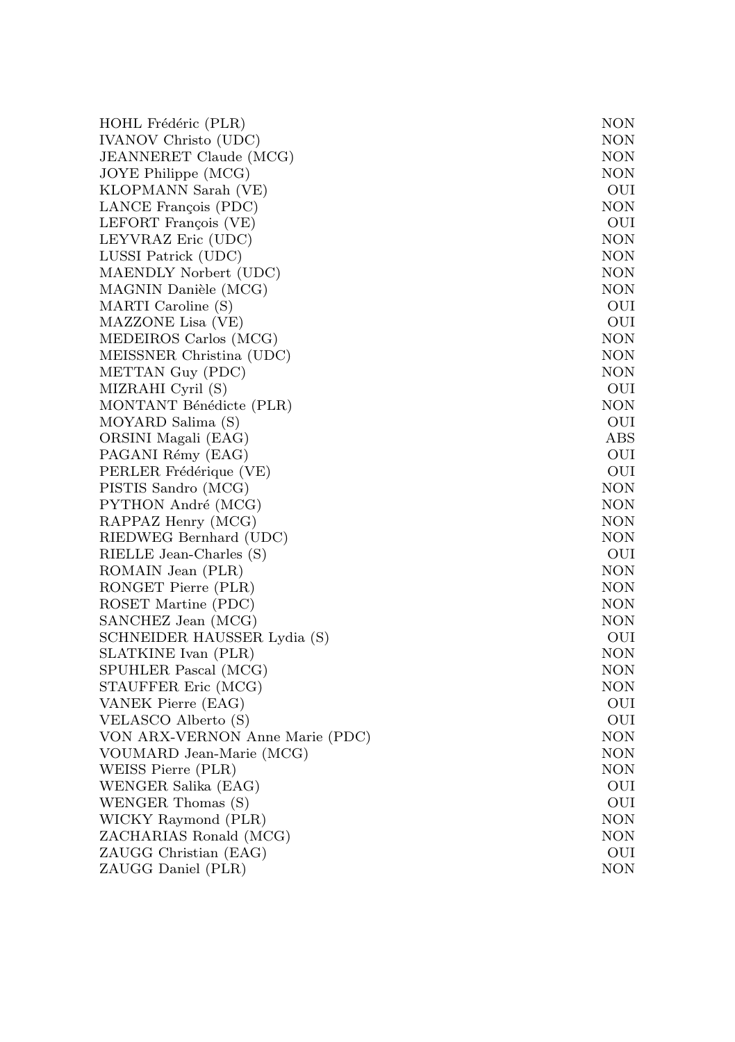| HOHL Frédéric (PLR)             | NON        |
|---------------------------------|------------|
| IVANOV Christo (UDC)            | NON        |
| JEANNERET Claude (MCG)          | NON        |
| JOYE Philippe (MCG)             | NON        |
| KLOPMANN Sarah (VE)             | OUI        |
| LANCE François (PDC)            | NON        |
| LEFORT François (VE)            | OUI        |
| LEYVRAZ Eric (UDC)              | NON        |
| LUSSI Patrick (UDC)             | NON        |
| MAENDLY Norbert (UDC)           | NON        |
| MAGNIN Danièle (MCG)            | NON        |
| MARTI Caroline (S)              | OUI        |
| MAZZONE Lisa (VE)               | OUI        |
| MEDEIROS Carlos (MCG)           | NON        |
| MEISSNER Christina (UDC)        | NON        |
| METTAN Guy (PDC)                | NON        |
| MIZRAHI Cyril (S)               | OUI        |
| MONTANT Bénédicte (PLR)         | NON        |
| MOYARD Salima (S)               | OUI        |
| ORSINI Magali (EAG)             | ABS        |
| PAGANI Rémy (EAG)               | OUI        |
| PERLER Frédérique (VE)          | OUI        |
| PISTIS Sandro (MCG)             | NON        |
| PYTHON André (MCG)              | NON        |
| RAPPAZ Henry (MCG)              | NON        |
| RIEDWEG Bernhard (UDC)          | NON        |
| RIELLE Jean-Charles (S)         | OUI        |
| ROMAIN Jean (PLR)               | NON        |
| RONGET Pierre (PLR)             | NON        |
| ROSET Martine (PDC)             | NON        |
| SANCHEZ Jean (MCG)              | NON        |
| SCHNEIDER HAUSSER Lydia (S)     | OUI        |
| SLATKINE Ivan (PLR)             | NON        |
| SPUHLER Pascal (MCG)            | NON        |
| STAUFFER Eric (MCG)             | NON        |
| VANEK Pierre (EAG)              | OUI        |
| VELASCO Alberto (S)             | OUI        |
| VON ARX-VERNON Anne Marie (PDC) | NON        |
| VOUMARD Jean-Marie (MCG)        | NON        |
| WEISS Pierre (PLR)              | NON        |
| WENGER Salika (EAG)             | OUI        |
| WENGER Thomas (S)               | OUI        |
| WICKY Raymond (PLR)             | NON        |
| ZACHARIAS Ronald (MCG)          | NON        |
| ZAUGG Christian (EAG)           | OUI        |
| ZAUGG Daniel (PLR)              | <b>NON</b> |
|                                 |            |